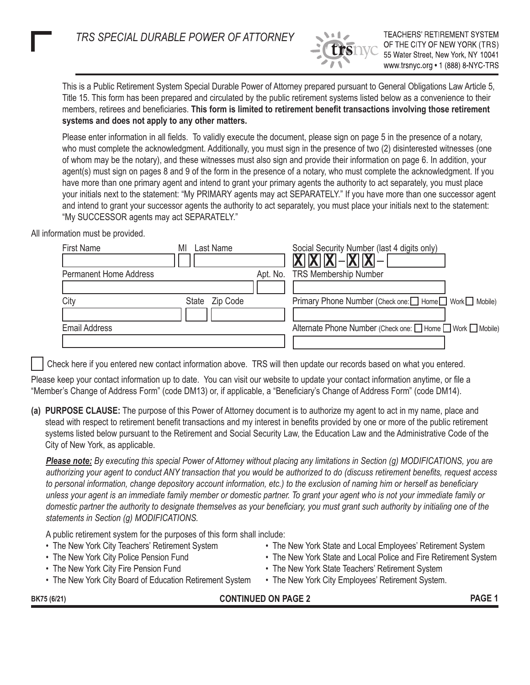*TRS SPECIAL DURABLE POWER OF ATTORNEY*



**TEACHERS' RETIREMENT SYSTEM** OF THE CITY OF NEW YORK (TRS) 55 Water Street, New York, NY 10041 www.trsnyc.org • 1 (888) 8-NYC-TRS

This is a Public Retirement System Special Durable Power of Attorney prepared pursuant to General Obligations Law Article 5, Title 15. This form has been prepared and circulated by the public retirement systems listed below as a convenience to their members, retirees and beneficiaries. **This form is limited to retirement benefit transactions involving those retirement systems and does not apply to any other matters.**

Please enter information in all fields. To validly execute the document, please sign on page 5 in the presence of a notary, who must complete the acknowledgment. Additionally, you must sign in the presence of two (2) disinterested witnesses (one of whom may be the notary), and these witnesses must also sign and provide their information on page 6. In addition, your agent(s) must sign on pages 8 and 9 of the form in the presence of a notary, who must complete the acknowledgment. If you have more than one primary agent and intend to grant your primary agents the authority to act separately, you must place your initials next to the statement: "My PRIMARY agents may act SEPARATELY." If you have more than one successor agent and intend to grant your successor agents the authority to act separately, you must place your initials next to the statement: "My SUCCESSOR agents may act SEPARATELY."

All information must be provided.

| <b>First Name</b>             | Last Name<br>MI   | Social Security Number (last 4 digits only)                |
|-------------------------------|-------------------|------------------------------------------------------------|
|                               |                   | $- X X X  -  X X  -$                                       |
| <b>Permanent Home Address</b> |                   | Apt. No. TRS Membership Number                             |
|                               |                   |                                                            |
| City                          | State<br>Zip Code | Primary Phone Number (Check one: □ Home □ Work □ Mobile)   |
|                               |                   |                                                            |
| <b>Email Address</b>          |                   | Alternate Phone Number (Check one: □ Home □ Work □ Mobile) |
|                               |                   |                                                            |

Check here if you entered new contact information above. TRS will then update our records based on what you entered.

Please keep your contact information up to date. You can visit our website to update your contact information anytime, or file a "Member's Change of Address Form" (code DM13) or, if applicable, a "Beneficiary's Change of Address Form" (code DM14).

**(a) PURPOSE CLAUSE:** The purpose of this Power of Attorney document is to authorize my agent to act in my name, place and stead with respect to retirement benefit transactions and my interest in benefits provided by one or more of the public retirement systems listed below pursuant to the Retirement and Social Security Law, the Education Law and the Administrative Code of the City of New York, as applicable.

*Please note: By executing this special Power of Attorney without placing any limitations in Section (g) MODIFICATIONS, you are authorizing your agent to conduct ANY transaction that you would be authorized to do (discuss retirement benefits, request access to personal information, change depository account information, etc.) to the exclusion of naming him or herself as beneficiary unless your agent is an immediate family member or domestic partner. To grant your agent who is not your immediate family or domestic partner the authority to designate themselves as your beneficiary, you must grant such authority by initialing one of the statements in Section (g) MODIFICATIONS.* 

A public retirement system for the purposes of this form shall include:

- 
- 
- 
- The New York City Board of Education Retirement System The New York City Employees' Retirement System.
- The New York City Teachers' Retirement System The New York State and Local Employees' Retirement System
- The New York City Police Pension Fund  **The New York State and Local Police and Fire Retirement System**
- The New York City Fire Pension Fund  **The New York State Teachers' Retirement System** 
	-

BK75 (6/21) **PAGE 1**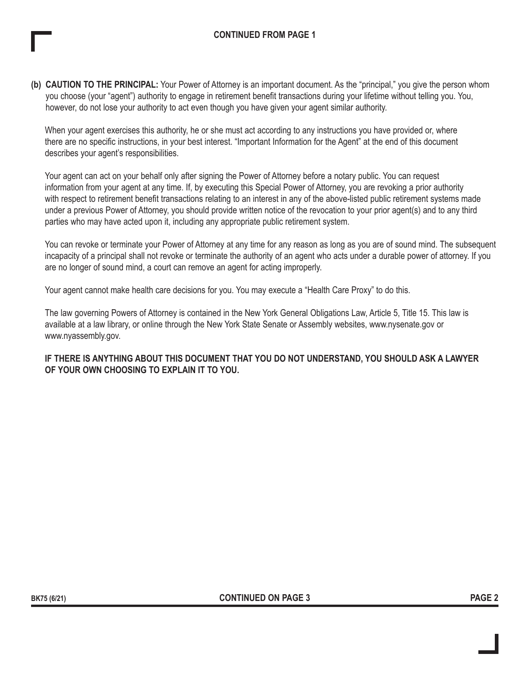**(b) CAUTION TO THE PRINCIPAL:** Your Power of Attorney is an important document. As the "principal," you give the person whom you choose (your "agent") authority to engage in retirement benefit transactions during your lifetime without telling you. You, however, do not lose your authority to act even though you have given your agent similar authority.

When your agent exercises this authority, he or she must act according to any instructions you have provided or, where there are no specific instructions, in your best interest. "Important Information for the Agent" at the end of this document describes your agent's responsibilities.

Your agent can act on your behalf only after signing the Power of Attorney before a notary public. You can request information from your agent at any time. If, by executing this Special Power of Attorney, you are revoking a prior authority with respect to retirement benefit transactions relating to an interest in any of the above-listed public retirement systems made under a previous Power of Attorney, you should provide written notice of the revocation to your prior agent(s) and to any third parties who may have acted upon it, including any appropriate public retirement system.

You can revoke or terminate your Power of Attorney at any time for any reason as long as you are of sound mind. The subsequent incapacity of a principal shall not revoke or terminate the authority of an agent who acts under a durable power of attorney. If you are no longer of sound mind, a court can remove an agent for acting improperly.

Your agent cannot make health care decisions for you. You may execute a "Health Care Proxy" to do this.

The law governing Powers of Attorney is contained in the New York General Obligations Law, Article 5, Title 15. This law is available at a law library, or online through the New York State Senate or Assembly websites, www.nysenate.gov or www.nyassembly.gov.

**IF THERE IS ANYTHING ABOUT THIS DOCUMENT THAT YOU DO NOT UNDERSTAND, YOU SHOULD ASK A LAWYER OF YOUR OWN CHOOSING TO EXPLAIN IT TO YOU.**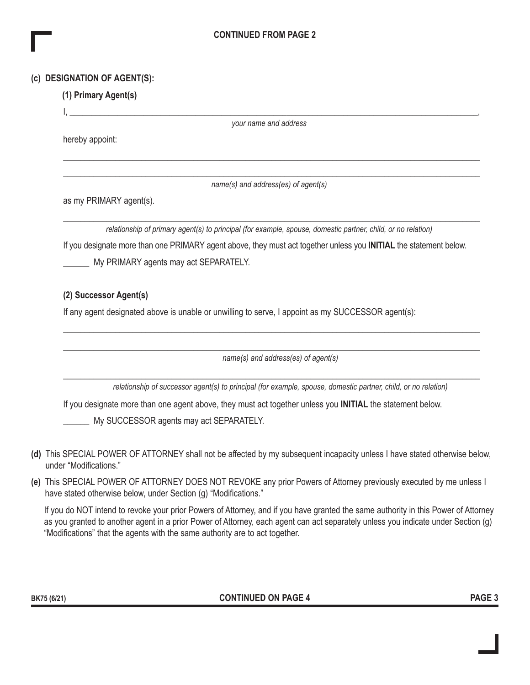## **CONTINUED FROM PAGE 2**

### **(c) DESIGNATION OF AGENT(S):**

# **(1) Primary Agent(s)**

I, \_\_\_\_\_\_\_\_\_\_\_\_\_\_\_\_\_\_\_\_\_\_\_\_\_\_\_\_\_\_\_\_\_\_\_\_\_\_\_\_\_\_\_\_\_\_\_\_\_\_\_\_\_\_\_\_\_\_\_\_\_\_\_\_\_\_\_\_\_\_\_\_\_\_\_\_\_\_\_\_\_\_\_\_\_\_\_\_\_\_\_\_\_\_,

*your name and address*

hereby appoint:

\_\_\_\_\_\_\_\_\_\_\_\_\_\_\_\_\_\_\_\_\_\_\_\_\_\_\_\_\_\_\_\_\_\_\_\_\_\_\_\_\_\_\_\_\_\_\_\_\_\_\_\_\_\_\_\_\_\_\_\_\_\_\_\_\_\_\_\_\_\_\_\_\_\_\_\_\_\_\_\_\_\_\_\_\_\_\_\_\_\_\_\_\_\_\_\_

\_\_\_\_\_\_\_\_\_\_\_\_\_\_\_\_\_\_\_\_\_\_\_\_\_\_\_\_\_\_\_\_\_\_\_\_\_\_\_\_\_\_\_\_\_\_\_\_\_\_\_\_\_\_\_\_\_\_\_\_\_\_\_\_\_\_\_\_\_\_\_\_\_\_\_\_\_\_\_\_\_\_\_\_\_\_\_\_\_\_\_\_\_\_\_\_ *name(s) and address(es) of agent(s)*

as my PRIMARY agent(s).

\_\_\_\_\_\_\_\_\_\_\_\_\_\_\_\_\_\_\_\_\_\_\_\_\_\_\_\_\_\_\_\_\_\_\_\_\_\_\_\_\_\_\_\_\_\_\_\_\_\_\_\_\_\_\_\_\_\_\_\_\_\_\_\_\_\_\_\_\_\_\_\_\_\_\_\_\_\_\_\_\_\_\_\_\_\_\_\_\_\_\_\_\_\_\_\_ *relationship of primary agent(s) to principal (for example, spouse, domestic partner, child, or no relation)* If you designate more than one PRIMARY agent above, they must act together unless you **INITIAL** the statement below. My PRIMARY agents may act SEPARATELY.

# **(2) Successor Agent(s)**

If any agent designated above is unable or unwilling to serve, I appoint as my SUCCESSOR agent(s):

*name(s) and address(es) of agent(s)*

\_\_\_\_\_\_\_\_\_\_\_\_\_\_\_\_\_\_\_\_\_\_\_\_\_\_\_\_\_\_\_\_\_\_\_\_\_\_\_\_\_\_\_\_\_\_\_\_\_\_\_\_\_\_\_\_\_\_\_\_\_\_\_\_\_\_\_\_\_\_\_\_\_\_\_\_\_\_\_\_\_\_\_\_\_\_\_\_\_\_\_\_\_\_\_\_

\_\_\_\_\_\_\_\_\_\_\_\_\_\_\_\_\_\_\_\_\_\_\_\_\_\_\_\_\_\_\_\_\_\_\_\_\_\_\_\_\_\_\_\_\_\_\_\_\_\_\_\_\_\_\_\_\_\_\_\_\_\_\_\_\_\_\_\_\_\_\_\_\_\_\_\_\_\_\_\_\_\_\_\_\_\_\_\_\_\_\_\_\_\_\_\_

\_\_\_\_\_\_\_\_\_\_\_\_\_\_\_\_\_\_\_\_\_\_\_\_\_\_\_\_\_\_\_\_\_\_\_\_\_\_\_\_\_\_\_\_\_\_\_\_\_\_\_\_\_\_\_\_\_\_\_\_\_\_\_\_\_\_\_\_\_\_\_\_\_\_\_\_\_\_\_\_\_\_\_\_\_\_\_\_\_\_\_\_\_\_\_\_

*relationship of successor agent(s) to principal (for example, spouse, domestic partner, child, or no relation)*

If you designate more than one agent above, they must act together unless you **INITIAL** the statement below.

My SUCCESSOR agents may act SEPARATELY.

- **(d)** This SPECIAL POWER OF ATTORNEY shall not be affected by my subsequent incapacity unless I have stated otherwise below, under "Modifications."
- **(e)** This SPECIAL POWER OF ATTORNEY DOES NOT REVOKE any prior Powers of Attorney previously executed by me unless I have stated otherwise below, under Section (g) "Modifications."

If you do NOT intend to revoke your prior Powers of Attorney, and if you have granted the same authority in this Power of Attorney as you granted to another agent in a prior Power of Attorney, each agent can act separately unless you indicate under Section (g) "Modifications" that the agents with the same authority are to act together.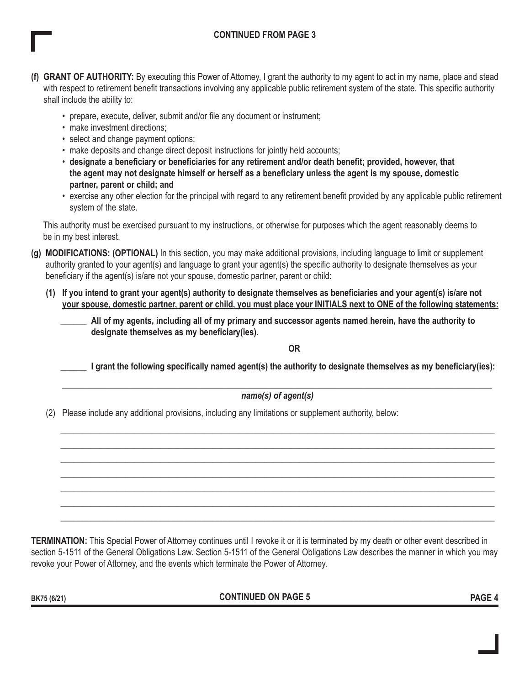## **CONTINUED FROM PAGE 3**

- **(f) GRANT OF AUTHORITY:** By executing this Power of Attorney, I grant the authority to my agent to act in my name, place and stead with respect to retirement benefit transactions involving any applicable public retirement system of the state. This specific authority shall include the ability to:
	- prepare, execute, deliver, submit and/or file any document or instrument;
	- make investment directions:
	- select and change payment options;
	- make deposits and change direct deposit instructions for jointly held accounts;
	- **designate a beneficiary or beneficiaries for any retirement and/or death benefit; provided, however, that the agent may not designate himself or herself as a beneficiary unless the agent is my spouse, domestic partner, parent or child; and**
	- exercise any other election for the principal with regard to any retirement benefit provided by any applicable public retirement system of the state.

This authority must be exercised pursuant to my instructions, or otherwise for purposes which the agent reasonably deems to be in my best interest.

- **(g) MODIFICATIONS: (OPTIONAL)** In this section, you may make additional provisions, including language to limit or supplement authority granted to your agent(s) and language to grant your agent(s) the specific authority to designate themselves as your beneficiary if the agent(s) is/are not your spouse, domestic partner, parent or child:
	- **(1) If you intend to grant your agent(s) authority to designate themselves as beneficiaries and your agent(s) is/are not your spouse, domestic partner, parent or child, you must place your INITIALS next to ONE of the following statements:**

\_\_\_\_\_\_ **All of my agents, including all of my primary and successor agents named herein, have the authority to designate themselves as my beneficiary(ies).**

#### **OR**

\_\_\_\_\_\_ **I grant the following specifically named agent(s) the authority to designate themselves as my beneficiary(ies):** 

 $\_$  , and the set of the set of the set of the set of the set of the set of the set of the set of the set of the set of the set of the set of the set of the set of the set of the set of the set of the set of the set of th *name(s) of agent(s)*

\_\_\_\_\_\_\_\_\_\_\_\_\_\_\_\_\_\_\_\_\_\_\_\_\_\_\_\_\_\_\_\_\_\_\_\_\_\_\_\_\_\_\_\_\_\_\_\_\_\_\_\_\_\_\_\_\_\_\_\_\_\_\_\_\_\_\_\_\_\_\_\_\_\_\_\_\_\_\_\_\_\_\_\_\_\_\_\_\_\_\_\_\_\_\_\_\_\_\_\_ \_\_\_\_\_\_\_\_\_\_\_\_\_\_\_\_\_\_\_\_\_\_\_\_\_\_\_\_\_\_\_\_\_\_\_\_\_\_\_\_\_\_\_\_\_\_\_\_\_\_\_\_\_\_\_\_\_\_\_\_\_\_\_\_\_\_\_\_\_\_\_\_\_\_\_\_\_\_\_\_\_\_\_\_\_\_\_\_\_\_\_\_\_\_\_\_\_\_\_\_ \_\_\_\_\_\_\_\_\_\_\_\_\_\_\_\_\_\_\_\_\_\_\_\_\_\_\_\_\_\_\_\_\_\_\_\_\_\_\_\_\_\_\_\_\_\_\_\_\_\_\_\_\_\_\_\_\_\_\_\_\_\_\_\_\_\_\_\_\_\_\_\_\_\_\_\_\_\_\_\_\_\_\_\_\_\_\_\_\_\_\_\_\_\_\_\_\_\_\_\_  $\_$  , and the set of the set of the set of the set of the set of the set of the set of the set of the set of the set of the set of the set of the set of the set of the set of the set of the set of the set of the set of th \_\_\_\_\_\_\_\_\_\_\_\_\_\_\_\_\_\_\_\_\_\_\_\_\_\_\_\_\_\_\_\_\_\_\_\_\_\_\_\_\_\_\_\_\_\_\_\_\_\_\_\_\_\_\_\_\_\_\_\_\_\_\_\_\_\_\_\_\_\_\_\_\_\_\_\_\_\_\_\_\_\_\_\_\_\_\_\_\_\_\_\_\_\_\_\_\_\_\_\_ \_\_\_\_\_\_\_\_\_\_\_\_\_\_\_\_\_\_\_\_\_\_\_\_\_\_\_\_\_\_\_\_\_\_\_\_\_\_\_\_\_\_\_\_\_\_\_\_\_\_\_\_\_\_\_\_\_\_\_\_\_\_\_\_\_\_\_\_\_\_\_\_\_\_\_\_\_\_\_\_\_\_\_\_\_\_\_\_\_\_\_\_\_\_\_\_\_\_\_\_ \_\_\_\_\_\_\_\_\_\_\_\_\_\_\_\_\_\_\_\_\_\_\_\_\_\_\_\_\_\_\_\_\_\_\_\_\_\_\_\_\_\_\_\_\_\_\_\_\_\_\_\_\_\_\_\_\_\_\_\_\_\_\_\_\_\_\_\_\_\_\_\_\_\_\_\_\_\_\_\_\_\_\_\_\_\_\_\_\_\_\_\_\_\_\_\_\_\_\_\_

(2) Please include any additional provisions, including any limitations or supplement authority, below:

**TERMINATION:** This Special Power of Attorney continues until I revoke it or it is terminated by my death or other event described in section 5-1511 of the General Obligations Law. Section 5-1511 of the General Obligations Law describes the manner in which you may revoke your Power of Attorney, and the events which terminate the Power of Attorney.

**BK75 (6/21) PAGE 4 CONTINUED ON PAGE 5**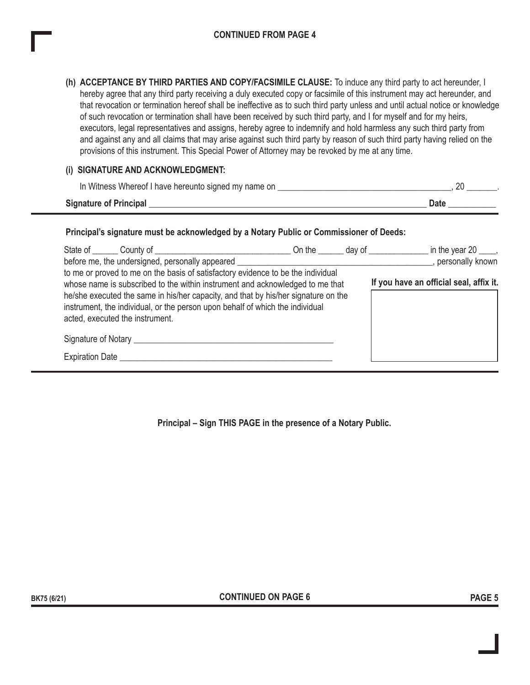**(h) ACCEPTANCE BY THIRD PARTIES AND COPY/FACSIMILE CLAUSE:** To induce any third party to act hereunder, I hereby agree that any third party receiving a duly executed copy or facsimile of this instrument may act hereunder, and that revocation or termination hereof shall be ineffective as to such third party unless and until actual notice or knowledge of such revocation or termination shall have been received by such third party, and I for myself and for my heirs, executors, legal representatives and assigns, hereby agree to indemnify and hold harmless any such third party from and against any and all claims that may arise against such third party by reason of such third party having relied on the provisions of this instrument. This Special Power of Attorney may be revoked by me at any time.

#### **(i) SIGNATURE AND ACKNOWLEDGMENT:**

| In Witness Whereof I have hereunto signed my name on |      |
|------------------------------------------------------|------|
| <b>Signature of Principal</b>                        | Date |

#### **Principal's signature must be acknowledged by a Notary Public or Commissioner of Deeds:**

|                        | before me, the undersigned, personally appeared                                                                                                                                                                                                                                                                                                                             | On the day of |  | in the year $20 \_\_\_\_\$<br>, personally known |
|------------------------|-----------------------------------------------------------------------------------------------------------------------------------------------------------------------------------------------------------------------------------------------------------------------------------------------------------------------------------------------------------------------------|---------------|--|--------------------------------------------------|
|                        | to me or proved to me on the basis of satisfactory evidence to be the individual<br>whose name is subscribed to the within instrument and acknowledged to me that<br>he/she executed the same in his/her capacity, and that by his/her signature on the<br>instrument, the individual, or the person upon behalf of which the individual<br>acted, executed the instrument. |               |  | If you have an official seal, affix it.          |
| <b>Expiration Date</b> |                                                                                                                                                                                                                                                                                                                                                                             |               |  |                                                  |

**Principal – Sign THIS PAGE in the presence of a Notary Public.**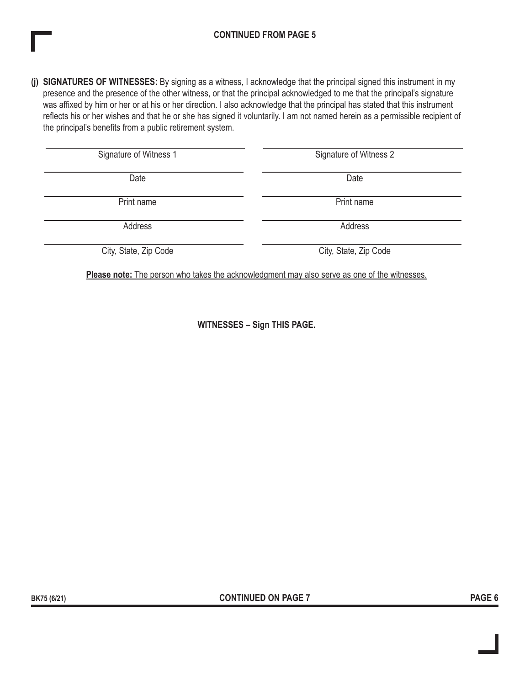## **CONTINUED FROM PAGE 5**

**(j) SIGNATURES OF WITNESSES:** By signing as a witness, I acknowledge that the principal signed this instrument in my presence and the presence of the other witness, or that the principal acknowledged to me that the principal's signature was affixed by him or her or at his or her direction. I also acknowledge that the principal has stated that this instrument reflects his or her wishes and that he or she has signed it voluntarily. I am not named herein as a permissible recipient of the principal's benefits from a public retirement system.

| Signature of Witness 1 | Signature of Witness 2 |  |  |  |
|------------------------|------------------------|--|--|--|
| Date                   | Date                   |  |  |  |
| Print name             | Print name             |  |  |  |
| Address                | Address                |  |  |  |
| City, State, Zip Code  | City, State, Zip Code  |  |  |  |

**Please note:** The person who takes the acknowledgment may also serve as one of the witnesses.

**WITNESSES – Sign THIS PAGE.**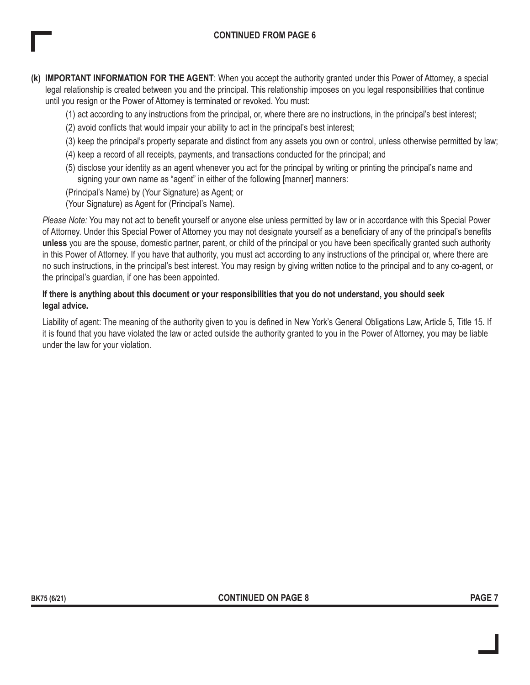- **(k) IMPORTANT INFORMATION FOR THE AGENT**: When you accept the authority granted under this Power of Attorney, a special legal relationship is created between you and the principal. This relationship imposes on you legal responsibilities that continue until you resign or the Power of Attorney is terminated or revoked. You must:
	- (1) act according to any instructions from the principal, or, where there are no instructions, in the principal's best interest;
	- (2) avoid conflicts that would impair your ability to act in the principal's best interest;
	- (3) keep the principal's property separate and distinct from any assets you own or control, unless otherwise permitted by law;
	- (4) keep a record of all receipts, payments, and transactions conducted for the principal; and
	- (5) disclose your identity as an agent whenever you act for the principal by writing or printing the principal's name and signing your own name as "agent" in either of the following [manner] manners:
	- (Principal's Name) by (Your Signature) as Agent; or
	- (Your Signature) as Agent for (Principal's Name).

*Please Note:* You may not act to benefit yourself or anyone else unless permitted by law or in accordance with this Special Power of Attorney. Under this Special Power of Attorney you may not designate yourself as a beneficiary of any of the principal's benefits **unless** you are the spouse, domestic partner, parent, or child of the principal or you have been specifically granted such authority in this Power of Attorney. If you have that authority, you must act according to any instructions of the principal or, where there are no such instructions, in the principal's best interest. You may resign by giving written notice to the principal and to any co-agent, or the principal's guardian, if one has been appointed.

### **If there is anything about this document or your responsibilities that you do not understand, you should seek legal advice.**

Liability of agent: The meaning of the authority given to you is defined in New York's General Obligations Law, Article 5, Title 15. If it is found that you have violated the law or acted outside the authority granted to you in the Power of Attorney, you may be liable under the law for your violation.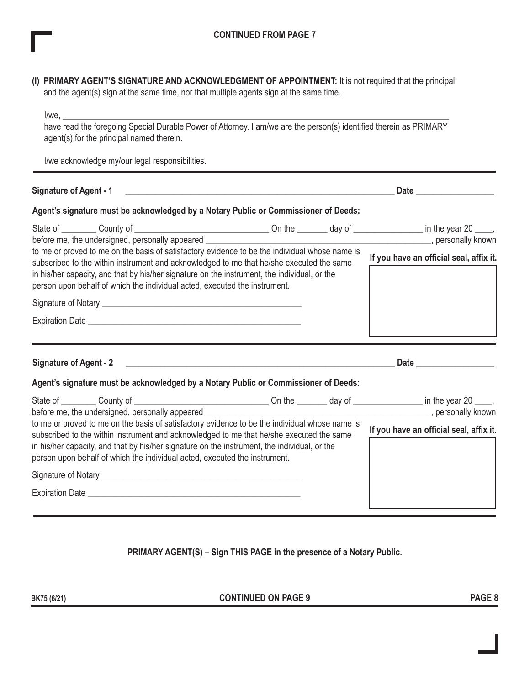|                                                                                                                                                                                                                                                                                                                                                                          | (I) PRIMARY AGENT'S SIGNATURE AND ACKNOWLEDGMENT OF APPOINTMENT: It is not required that the principal<br>and the agent(s) sign at the same time, nor that multiple agents sign at the same time.                                                                                                                                                                        |  |                                         |                                                                                                                                                                                                                                      |
|--------------------------------------------------------------------------------------------------------------------------------------------------------------------------------------------------------------------------------------------------------------------------------------------------------------------------------------------------------------------------|--------------------------------------------------------------------------------------------------------------------------------------------------------------------------------------------------------------------------------------------------------------------------------------------------------------------------------------------------------------------------|--|-----------------------------------------|--------------------------------------------------------------------------------------------------------------------------------------------------------------------------------------------------------------------------------------|
|                                                                                                                                                                                                                                                                                                                                                                          | $I/we$ ,<br>have read the foregoing Special Durable Power of Attorney. I am/we are the person(s) identified therein as PRIMARY<br>agent(s) for the principal named therein.                                                                                                                                                                                              |  |                                         |                                                                                                                                                                                                                                      |
|                                                                                                                                                                                                                                                                                                                                                                          | I/we acknowledge my/our legal responsibilities.                                                                                                                                                                                                                                                                                                                          |  |                                         |                                                                                                                                                                                                                                      |
|                                                                                                                                                                                                                                                                                                                                                                          | Signature of Agent - 1 2008 2009 2010 2020 2031 2040 2051 2062 207 208 209 209 2009 2010 2020 2031 2040 2051 20                                                                                                                                                                                                                                                          |  |                                         | Date <u>and the second second and the second second second second second second second second second second second second second second second second second second second second second second second second second second seco</u> |
|                                                                                                                                                                                                                                                                                                                                                                          | Agent's signature must be acknowledged by a Notary Public or Commissioner of Deeds:                                                                                                                                                                                                                                                                                      |  |                                         |                                                                                                                                                                                                                                      |
|                                                                                                                                                                                                                                                                                                                                                                          | before me, the undersigned, personally appeared ________________________________                                                                                                                                                                                                                                                                                         |  |                                         | gersonally known and the state of the state of the state of the state of the state of the state of the state o                                                                                                                       |
| to me or proved to me on the basis of satisfactory evidence to be the individual whose name is<br>subscribed to the within instrument and acknowledged to me that he/she executed the same<br>in his/her capacity, and that by his/her signature on the instrument, the individual, or the<br>person upon behalf of which the individual acted, executed the instrument. |                                                                                                                                                                                                                                                                                                                                                                          |  | If you have an official seal, affix it. |                                                                                                                                                                                                                                      |
|                                                                                                                                                                                                                                                                                                                                                                          |                                                                                                                                                                                                                                                                                                                                                                          |  |                                         |                                                                                                                                                                                                                                      |
|                                                                                                                                                                                                                                                                                                                                                                          | Expiration Date <b>Expiration</b> Date <b>All Accords</b> 2014 12:00 12:00 12:00 12:00 12:00 12:00 12:00 12:00 12:00 12:00 12:00 12:00 12:00 12:00 12:00 12:00 12:00 12:00 12:00 12:00 12:00 12:00 12:00 12:00 12:00 12:00 12:00 12:00 1                                                                                                                                 |  |                                         |                                                                                                                                                                                                                                      |
|                                                                                                                                                                                                                                                                                                                                                                          |                                                                                                                                                                                                                                                                                                                                                                          |  |                                         |                                                                                                                                                                                                                                      |
|                                                                                                                                                                                                                                                                                                                                                                          | Agent's signature must be acknowledged by a Notary Public or Commissioner of Deeds:                                                                                                                                                                                                                                                                                      |  |                                         |                                                                                                                                                                                                                                      |
|                                                                                                                                                                                                                                                                                                                                                                          | before me, the undersigned, personally appeared                                                                                                                                                                                                                                                                                                                          |  |                                         | personally known                                                                                                                                                                                                                     |
|                                                                                                                                                                                                                                                                                                                                                                          | to me or proved to me on the basis of satisfactory evidence to be the individual whose name is<br>subscribed to the within instrument and acknowledged to me that he/she executed the same<br>in his/her capacity, and that by his/her signature on the instrument, the individual, or the<br>person upon behalf of which the individual acted, executed the instrument. |  |                                         | If you have an official seal, affix it.                                                                                                                                                                                              |
|                                                                                                                                                                                                                                                                                                                                                                          |                                                                                                                                                                                                                                                                                                                                                                          |  |                                         |                                                                                                                                                                                                                                      |
|                                                                                                                                                                                                                                                                                                                                                                          | Expiration Date <u>experience</u> and the series of the series of the series of the series of the series of the series                                                                                                                                                                                                                                                   |  |                                         |                                                                                                                                                                                                                                      |
|                                                                                                                                                                                                                                                                                                                                                                          |                                                                                                                                                                                                                                                                                                                                                                          |  |                                         |                                                                                                                                                                                                                                      |

# **PRIMARY AGENT(S) – Sign THIS PAGE in the presence of a Notary Public.**

**BK75 (6/21) PAGE 8 CONTINUED ON PAGE 9**